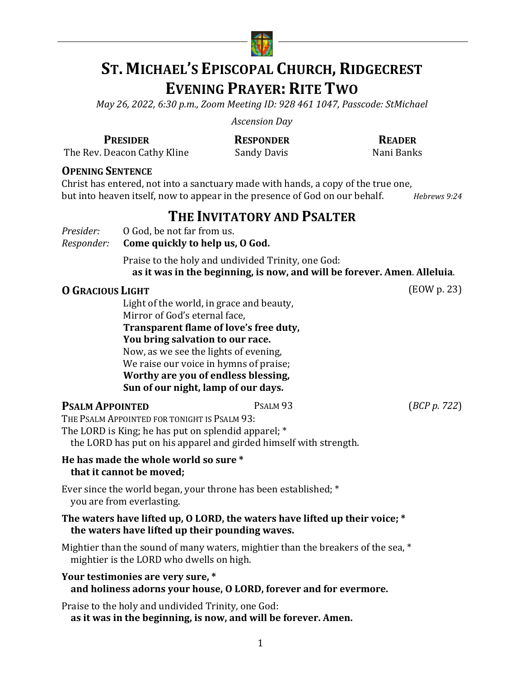

# **ST. MICHAEL'S EPISCOPAL CHURCH, RIDGECREST EVENING PRAYER: RITE TWO**

*May 26, 2022, 6:30 p.m., Zoom Meeting ID: 928 461 1047, Passcode: StMichael*

*Ascension Day*

**PRESIDER RESPONDER READER** The Rev. Deacon Cathy Kline Sandy Davis Nani Banks

#### **OPENING SENTENCE**

Christ has entered, not into a sanctuary made with hands, a copy of the true one,<br>but into heaven itself, now to appear in the presence of God on our behalf. Hebrews 9:24 but into heaven itself, now to appear in the presence of God on our behalf.

# **THE INVITATORY AND PSALTER**

*Presider:* O God, be not far from us.<br>*Responder:* **Come quickly to help us** 

*Come quickly to help us, O God.* 

Praise to the holy and undivided Trinity, one God: **as it was in the beginning, is now, and will be forever. Amen**. **Alleluia**.

#### **O GRACIOUS LIGHT** (EOW p. 23)

Light of the world, in grace and beauty, Mirror of God's eternal face, **Transparent flame of love's free duty,** You bring salvation to our race. Now, as we see the lights of evening, We raise our voice in hymns of praise; **Worthy are you of endless blessing, Sun of our night, lamp of our days.**

### **PSALM APPOINTED** PSALM 93 (*BCP p. 722*)

THE PSALM APPOINTED FOR TONIGHT IS PSALM 93: The LORD is King; he has put on splendid apparel;  $*$ the LORD has put on his apparel and girded himself with strength.

#### He has made the whole world so sure \* **that it cannot be moved:**

Ever since the world began, your throne has been established;  $*$ you are from everlasting.

#### The waters have lifted up, O LORD, the waters have lifted up their voice; \* the waters have lifted up their pounding waves.

Mightier than the sound of many waters, mightier than the breakers of the sea,  $*$ mightier is the LORD who dwells on high.

#### Your testimonies are very sure, \* and holiness adorns your house, O LORD, forever and for evermore.

Praise to the holy and undivided Trinity, one God: as it was in the beginning, is now, and will be forever. Amen.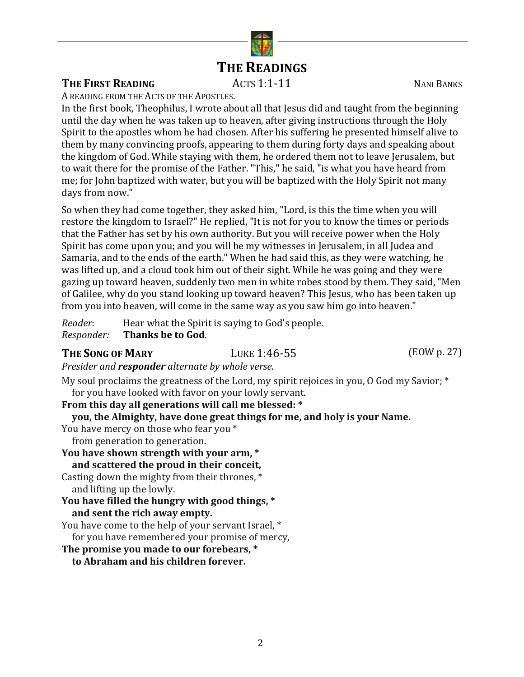# **THE READINGS**

#### **THE FIRST READING** ACTS 1:1-11 **NANIBANKS**

A READING FROM THE ACTS OF THE APOSTLES.

In the first book, Theophilus, I wrote about all that Jesus did and taught from the beginning until the day when he was taken up to heaven, after giving instructions through the Holy Spirit to the apostles whom he had chosen. After his suffering he presented himself alive to them by many convincing proofs, appearing to them during forty days and speaking about the kingdom of God. While staying with them, he ordered them not to leave Jerusalem, but to wait there for the promise of the Father. "This," he said, "is what you have heard from me; for John baptized with water, but you will be baptized with the Holy Spirit not many days from now."

So when they had come together, they asked him, "Lord, is this the time when you will restore the kingdom to Israel?" He replied, "It is not for you to know the times or periods that the Father has set by his own authority. But you will receive power when the Holy Spirit has come upon you; and you will be my witnesses in Jerusalem, in all Judea and Samaria, and to the ends of the earth." When he had said this, as they were watching, he was lifted up, and a cloud took him out of their sight. While he was going and they were gazing up toward heaven, suddenly two men in white robes stood by them. They said, "Men of Galilee, why do you stand looking up toward heaven? This Jesus, who has been taken up from you into heaven, will come in the same way as you saw him go into heaven."

*Reader*: Hear what the Spirit is saying to God's people.<br>*Responder:* Thanks be to God.

**Thanks be to God.** 

#### **THE SONG OF MARY** LUKE 1:46-55 (EOW p. 27)

*Presider and responder alternate by whole verse.*

My soul proclaims the greatness of the Lord, my spirit rejoices in you, O God my Savior;  $*$ for you have looked with favor on your lowly servant.

**From this day all generations will call me blessed: \***

#### **you, the Almighty, have done great things for me, and holy is your Name.**

- You have mercy on those who fear you \* from generation to generation.
- **You have shown strength with your arm, \* and scattered the proud in their conceit,**

Casting down the mighty from their thrones,  $*$ and lifting up the lowly.

**You have filled the hungry with good things, \* and sent the rich away empty.**

You have come to the help of your servant Israel, \*

for you have remembered your promise of mercy,

**The promise you made to our forebears, \* to Abraham and his children forever.**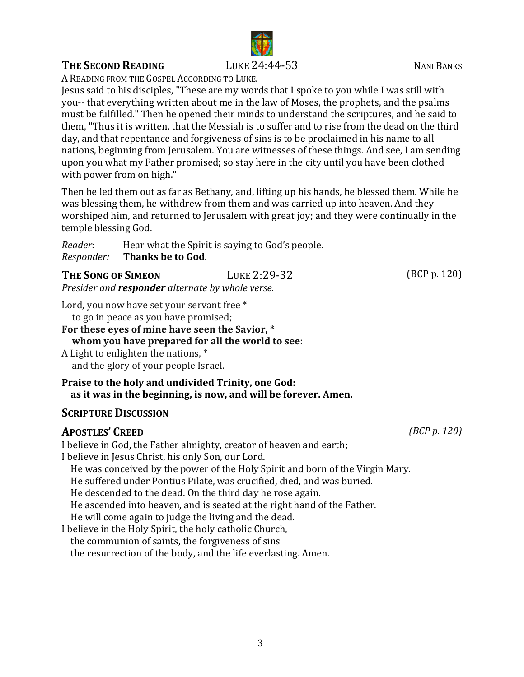### **THE SECOND READING LUKE 24:44-53** NANI BANKS

A READING FROM THE GOSPEL ACCORDING TO LUKE.

Jesus said to his disciples, "These are my words that I spoke to you while I was still with you-- that everything written about me in the law of Moses, the prophets, and the psalms must be fulfilled." Then he opened their minds to understand the scriptures, and he said to them, "Thus it is written, that the Messiah is to suffer and to rise from the dead on the third day, and that repentance and forgiveness of sins is to be proclaimed in his name to all nations, beginning from Jerusalem. You are witnesses of these things. And see, I am sending upon you what my Father promised; so stay here in the city until you have been clothed with power from on high."

Then he led them out as far as Bethany, and, lifting up his hands, he blessed them. While he was blessing them, he withdrew from them and was carried up into heaven. And they worshiped him, and returned to Jerusalem with great joy; and they were continually in the temple blessing God.

*Reader*: Hear what the Spirit is saying to God's people.<br>*Responder:* Thanks be to God. *Responder:* **Thanks be to God**.

#### **THE SONG OF SIMEON** LUKE 2:29-32 (BCP p. 120)

*Presider and responder alternate by whole verse.* 

Lord, you now have set your servant free \* to go in peace as you have promised;

For these eyes of mine have seen the Savior, \* **whom you have prepared for all the world to see:**

A Light to enlighten the nations,  $*$ and the glory of your people Israel.

**Praise to the holy and undivided Trinity, one God: as it was in the beginning, is now, and will be forever. Amen.**

### **SCRIPTURE DISCUSSION**

### **APOSTLES' CREED** *(BCP p. 120)*

I believe in God, the Father almighty, creator of heaven and earth; I believe in Jesus Christ, his only Son, our Lord. He was conceived by the power of the Holy Spirit and born of the Virgin Mary. He suffered under Pontius Pilate, was crucified, died, and was buried. He descended to the dead. On the third day he rose again. He ascended into heaven, and is seated at the right hand of the Father. He will come again to judge the living and the dead. I believe in the Holy Spirit, the holy catholic Church, the communion of saints, the forgiveness of sins the resurrection of the body, and the life everlasting. Amen.

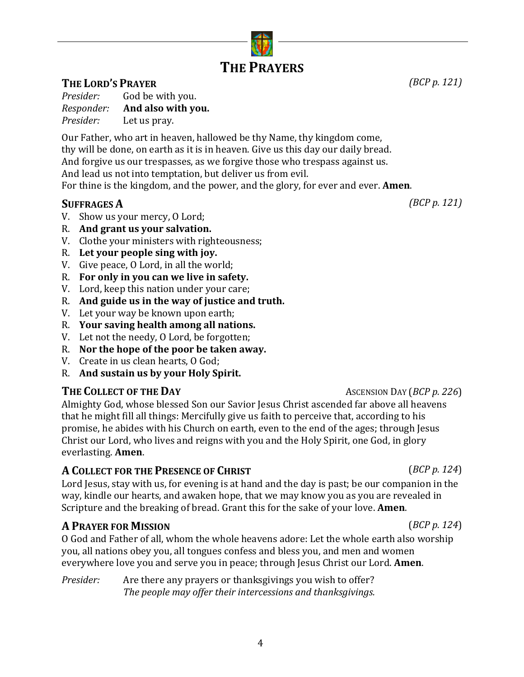#### 4

# **THE PRAYERS**

# **THE LORD'S PRAYER** *(BCP p. 121)*

*Presider:* God be with you.<br>*Responder:* **And also with you.** *Responder:* **And also with you.** *Presider:* Let us pray.

Our Father, who art in heaven, hallowed be thy Name, thy kingdom come, thy will be done, on earth as it is in heaven. Give us this day our daily bread. And forgive us our trespasses, as we forgive those who trespass against us. And lead us not into temptation, but deliver us from evil. For thine is the kingdom, and the power, and the glory, for ever and ever. **Amen**.

## **SUFFRAGES A** *(BCP p. 121)*

- V. Show us your mercy, O Lord;
- R. And grant us your salvation.
- V. Clothe your ministers with righteousness;
- R. Let your people sing with joy.
- V. Give peace, O Lord, in all the world;
- R. For only in you can we live in safety.
- V. Lord, keep this nation under your care;
- R. And guide us in the way of justice and truth.
- V. Let your way be known upon earth;
- R. Your saving health among all nations.
- V. Let not the needy, O Lord, be forgotten;
- R. Nor the hope of the poor be taken away.
- V. Create in us clean hearts, O God;
- R. And sustain us by your Holy Spirit.

## **THE COLLECT OF THE DAY** ASCENSION DAY (*BCP p. 226*)

Almighty God, whose blessed Son our Savior Jesus Christ ascended far above all heavens that he might fill all things: Mercifully give us faith to perceive that, according to his promise, he abides with his Church on earth, even to the end of the ages; through Jesus Christ our Lord, who lives and reigns with you and the Holy Spirit, one God, in glory everlasting. **Amen**.

## **A COLLECT** FOR THE PRESENCE OF CHRIST (*BCP p.* 124)

Lord Jesus, stay with us, for evening is at hand and the day is past; be our companion in the way, kindle our hearts, and awaken hope, that we may know you as you are revealed in Scripture and the breaking of bread. Grant this for the sake of your love. **Amen**.

# **A PRAYER FOR MISSION** (*BCP p.* 124)

O God and Father of all, whom the whole heavens adore: Let the whole earth also worship you, all nations obey you, all tongues confess and bless you, and men and women everywhere love you and serve you in peace; through Jesus Christ our Lord. **Amen**.

*Presider:* Are there any prayers or thanksgivings you wish to offer? *The people may offer their intercessions and thanksgivings.*